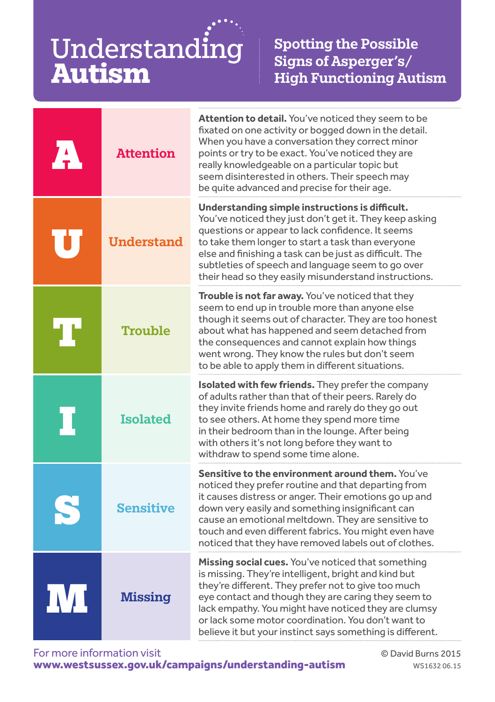Understanding **Autism**

Spotting the Possible Signs of Asperger's/ High Functioning Autism

| <b>Attention</b>  | <b>Attention to detail.</b> You've noticed they seem to be<br>fixated on one activity or bogged down in the detail.<br>When you have a conversation they correct minor<br>points or try to be exact. You've noticed they are<br>really knowledgeable on a particular topic but<br>seem disinterested in others. Their speech may<br>be quite advanced and precise for their age.                           |
|-------------------|------------------------------------------------------------------------------------------------------------------------------------------------------------------------------------------------------------------------------------------------------------------------------------------------------------------------------------------------------------------------------------------------------------|
| <b>Understand</b> | Understanding simple instructions is difficult.<br>You've noticed they just don't get it. They keep asking<br>questions or appear to lack confidence. It seems<br>to take them longer to start a task than everyone<br>else and finishing a task can be just as difficult. The<br>subtleties of speech and language seem to go over<br>their head so they easily misunderstand instructions.               |
| <b>Trouble</b>    | Trouble is not far away. You've noticed that they<br>seem to end up in trouble more than anyone else<br>though it seems out of character. They are too honest<br>about what has happened and seem detached from<br>the consequences and cannot explain how things<br>went wrong. They know the rules but don't seem<br>to be able to apply them in different situations.                                   |
| <b>Isolated</b>   | Isolated with few friends. They prefer the company<br>of adults rather than that of their peers. Rarely do<br>they invite friends home and rarely do they go out<br>to see others. At home they spend more time<br>in their bedroom than in the lounge. After being<br>with others it's not long before they want to<br>withdraw to spend some time alone.                                                 |
| <b>Sensitive</b>  | <b>Sensitive to the environment around them.</b> You've<br>noticed they prefer routine and that departing from<br>it causes distress or anger. Their emotions go up and<br>down very easily and something insignificant can<br>cause an emotional meltdown. They are sensitive to<br>touch and even different fabrics. You might even have<br>noticed that they have removed labels out of clothes.        |
| <b>Missing</b>    | <b>Missing social cues.</b> You've noticed that something<br>is missing. They're intelligent, bright and kind but<br>they're different. They prefer not to give too much<br>eye contact and though they are caring they seem to<br>lack empathy. You might have noticed they are clumsy<br>or lack some motor coordination. You don't want to<br>believe it but your instinct says something is different. |